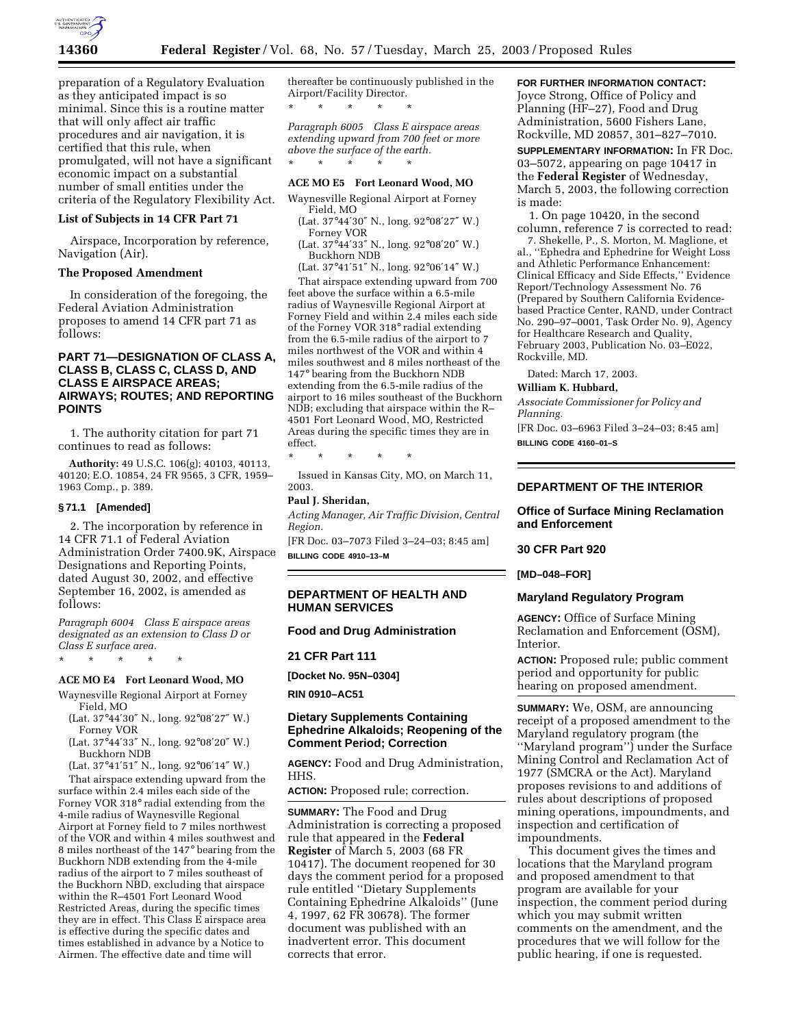

preparation of a Regulatory Evaluation as they anticipated impact is so minimal. Since this is a routine matter that will only affect air traffic procedures and air navigation, it is certified that this rule, when promulgated, will not have a significant economic impact on a substantial number of small entities under the criteria of the Regulatory Flexibility Act.

## **List of Subjects in 14 CFR Part 71**

Airspace, Incorporation by reference, Navigation (Air).

### **The Proposed Amendment**

In consideration of the foregoing, the Federal Aviation Administration proposes to amend 14 CFR part 71 as follows:

# **PART 71—DESIGNATION OF CLASS A, CLASS B, CLASS C, CLASS D, AND CLASS E AIRSPACE AREAS; AIRWAYS; ROUTES; AND REPORTING POINTS**

1. The authority citation for part 71 continues to read as follows:

**Authority:** 49 U.S.C. 106(g); 40103, 40113, 40120; E.O. 10854, 24 FR 9565, 3 CFR, 1959– 1963 Comp., p. 389.

### **§ 71.1 [Amended]**

2. The incorporation by reference in 14 CFR 71.1 of Federal Aviation Administration Order 7400.9K, Airspace Designations and Reporting Points, dated August 30, 2002, and effective September 16, 2002, is amended as follows:

*Paragraph 6004 Class E airspace areas designated as an extension to Class D or Class E surface area.*

\* \* \* \* \*

### **ACE MO E4 Fort Leonard Wood, MO**

Waynesville Regional Airport at Forney Field, MO

- (Lat. 37°44′30″ N., long. 92°08′27″ W.) Forney VOR
- (Lat. 37°44′33″ N., long. 92°08′20″ W.) Buckhorn NDB

(Lat. 37°41′51″ N., long. 92°06′14″ W.)

That airspace extending upward from the surface within 2.4 miles each side of the Forney VOR 318° radial extending from the 4-mile radius of Waynesville Regional Airport at Forney field to 7 miles northwest of the VOR and within 4 miles southwest and 8 miles northeast of the 147° bearing from the Buckhorn NDB extending from the 4-mile radius of the airport to 7 miles southeast of the Buckhorn NBD, excluding that airspace within the R–4501 Fort Leonard Wood Restricted Areas, during the specific times they are in effect. This Class E airspace area is effective during the specific dates and times established in advance by a Notice to Airmen. The effective date and time will

thereafter be continuously published in the Airport/Facility Director. \* \* \* \* \*

*Paragraph 6005 Class E airspace areas extending upward from 700 feet or more above the surface of the earth.* \* \* \* \* \*

### **ACE MO E5 Fort Leonard Wood, MO**

Waynesville Regional Airport at Forney Field, MO

- (Lat. 37°44′30″ N., long. 92°08′27″ W.) Forney VOR
- (Lat. 37°44′33″ N., long. 92°08′20″ W.) Buckhorn NDB

(Lat. 37°41′51″ N., long. 92°06′14″ W.)

That airspace extending upward from 700 feet above the surface within a 6.5-mile radius of Waynesville Regional Airport at Forney Field and within 2.4 miles each side of the Forney VOR 318° radial extending from the 6.5-mile radius of the airport to 7 miles northwest of the VOR and within 4 miles southwest and 8 miles northeast of the 147° bearing from the Buckhorn NDB extending from the 6.5-mile radius of the airport to 16 miles southeast of the Buckhorn NDB; excluding that airspace within the R– 4501 Fort Leonard Wood, MO, Restricted Areas during the specific times they are in effect.

\* \* \* \* \*

Issued in Kansas City, MO, on March 11, 2003.

#### **Paul J. Sheridan,**

*Acting Manager, Air Traffic Division, Central Region.*

[FR Doc. 03–7073 Filed 3–24–03; 8:45 am] **BILLING CODE 4910–13–M**

### **DEPARTMENT OF HEALTH AND HUMAN SERVICES**

### **Food and Drug Administration**

**21 CFR Part 111**

**[Docket No. 95N–0304]**

**RIN 0910–AC51**

## **Dietary Supplements Containing Ephedrine Alkaloids; Reopening of the Comment Period; Correction**

**AGENCY:** Food and Drug Administration, HHS.

**ACTION:** Proposed rule; correction.

**SUMMARY:** The Food and Drug Administration is correcting a proposed rule that appeared in the **Federal Register** of March 5, 2003 (68 FR 10417). The document reopened for 30 days the comment period for a proposed rule entitled ''Dietary Supplements Containing Ephedrine Alkaloids'' (June 4, 1997, 62 FR 30678). The former document was published with an inadvertent error. This document corrects that error.

# **FOR FURTHER INFORMATION CONTACT:**

Joyce Strong, Office of Policy and Planning (HF–27), Food and Drug Administration, 5600 Fishers Lane, Rockville, MD 20857, 301–827–7010.

**SUPPLEMENTARY INFORMATION:** In FR Doc. 03–5072, appearing on page 10417 in the **Federal Register** of Wednesday, March 5, 2003, the following correction is made:

1. On page 10420, in the second column, reference 7 is corrected to read:

7. Shekelle, P., S. Morton, M. Maglione, et al., ''Ephedra and Ephedrine for Weight Loss and Athletic Performance Enhancement: Clinical Efficacy and Side Effects,'' Evidence Report/Technology Assessment No. 76 (Prepared by Southern California Evidencebased Practice Center, RAND, under Contract No. 290–97–0001, Task Order No. 9), Agency for Healthcare Research and Quality, February 2003, Publication No. 03–E022, Rockville, MD.

Dated: March 17, 2003.

#### **William K. Hubbard,**

*Associate Commissioner for Policy and Planning.*

[FR Doc. 03–6963 Filed 3–24–03; 8:45 am] **BILLING CODE 4160–01–S**

# **DEPARTMENT OF THE INTERIOR**

## **Office of Surface Mining Reclamation and Enforcement**

### **30 CFR Part 920**

**[MD–048–FOR]** 

# **Maryland Regulatory Program**

**AGENCY:** Office of Surface Mining Reclamation and Enforcement (OSM), Interior.

**ACTION:** Proposed rule; public comment period and opportunity for public hearing on proposed amendment.

**SUMMARY:** We, OSM, are announcing receipt of a proposed amendment to the Maryland regulatory program (the ''Maryland program'') under the Surface Mining Control and Reclamation Act of 1977 (SMCRA or the Act). Maryland proposes revisions to and additions of rules about descriptions of proposed mining operations, impoundments, and inspection and certification of impoundments.

This document gives the times and locations that the Maryland program and proposed amendment to that program are available for your inspection, the comment period during which you may submit written comments on the amendment, and the procedures that we will follow for the public hearing, if one is requested.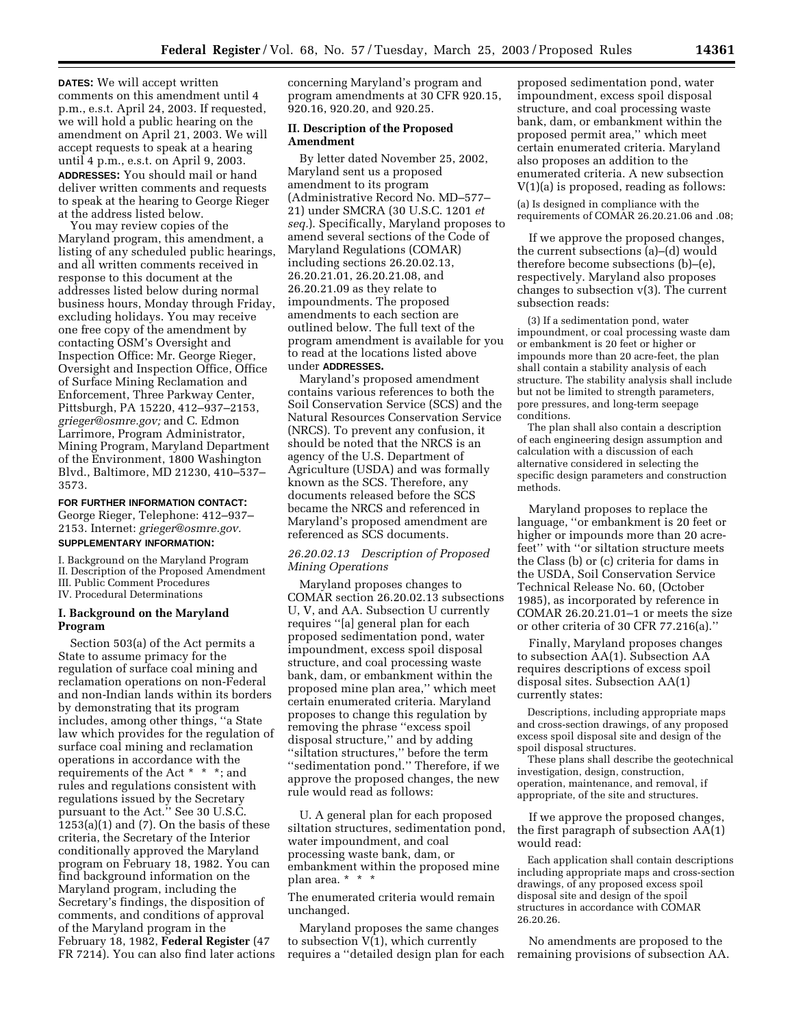**DATES:** We will accept written comments on this amendment until 4 p.m., e.s.t. April 24, 2003. If requested, we will hold a public hearing on the amendment on April 21, 2003. We will accept requests to speak at a hearing until 4 p.m., e.s.t. on April 9, 2003. **ADDRESSES:** You should mail or hand deliver written comments and requests to speak at the hearing to George Rieger at the address listed below.

You may review copies of the Maryland program, this amendment, a listing of any scheduled public hearings, and all written comments received in response to this document at the addresses listed below during normal business hours, Monday through Friday, excluding holidays. You may receive one free copy of the amendment by contacting OSM's Oversight and Inspection Office: Mr. George Rieger, Oversight and Inspection Office, Office of Surface Mining Reclamation and Enforcement, Three Parkway Center, Pittsburgh, PA 15220, 412–937–2153, *grieger@osmre.gov;* and C. Edmon Larrimore, Program Administrator, Mining Program, Maryland Department of the Environment, 1800 Washington Blvd., Baltimore, MD 21230, 410–537– 3573.

**FOR FURTHER INFORMATION CONTACT:**

George Rieger, Telephone: 412–937– 2153. Internet: *grieger@osmre.gov.*

# **SUPPLEMENTARY INFORMATION:**

I. Background on the Maryland Program II. Description of the Proposed Amendment III. Public Comment Procedures IV. Procedural Determinations

## **I. Background on the Maryland Program**

Section 503(a) of the Act permits a State to assume primacy for the regulation of surface coal mining and reclamation operations on non-Federal and non-Indian lands within its borders by demonstrating that its program includes, among other things, ''a State law which provides for the regulation of surface coal mining and reclamation operations in accordance with the requirements of the Act \* \* \*; and rules and regulations consistent with regulations issued by the Secretary pursuant to the Act." See 30 U.S.C.  $1253(a)(1)$  and  $(7)$ . On the basis of these criteria, the Secretary of the Interior conditionally approved the Maryland program on February 18, 1982. You can find background information on the Maryland program, including the Secretary's findings, the disposition of comments, and conditions of approval of the Maryland program in the February 18, 1982, **Federal Register** (47 FR 7214). You can also find later actions

concerning Maryland's program and program amendments at 30 CFR 920.15, 920.16, 920.20, and 920.25.

### **II. Description of the Proposed Amendment**

By letter dated November 25, 2002, Maryland sent us a proposed amendment to its program (Administrative Record No. MD–577– 21) under SMCRA (30 U.S.C. 1201 *et seq.*). Specifically, Maryland proposes to amend several sections of the Code of Maryland Regulations (COMAR) including sections 26.20.02.13, 26.20.21.01, 26.20.21.08, and 26.20.21.09 as they relate to impoundments. The proposed amendments to each section are outlined below. The full text of the program amendment is available for you to read at the locations listed above under **ADDRESSES.**

Maryland's proposed amendment contains various references to both the Soil Conservation Service (SCS) and the Natural Resources Conservation Service (NRCS). To prevent any confusion, it should be noted that the NRCS is an agency of the U.S. Department of Agriculture (USDA) and was formally known as the SCS. Therefore, any documents released before the SCS became the NRCS and referenced in Maryland's proposed amendment are referenced as SCS documents.

*26.20.02.13 Description of Proposed Mining Operations* 

Maryland proposes changes to COMAR section 26.20.02.13 subsections U, V, and AA. Subsection U currently requires ''[a] general plan for each proposed sedimentation pond, water impoundment, excess spoil disposal structure, and coal processing waste bank, dam, or embankment within the proposed mine plan area,'' which meet certain enumerated criteria. Maryland proposes to change this regulation by removing the phrase ''excess spoil disposal structure,'' and by adding ''siltation structures,'' before the term ''sedimentation pond.'' Therefore, if we approve the proposed changes, the new rule would read as follows:

U. A general plan for each proposed siltation structures, sedimentation pond, water impoundment, and coal processing waste bank, dam, or embankment within the proposed mine plan area. \* \* \*

The enumerated criteria would remain unchanged.

Maryland proposes the same changes to subsection V(1), which currently requires a ''detailed design plan for each

proposed sedimentation pond, water impoundment, excess spoil disposal structure, and coal processing waste bank, dam, or embankment within the proposed permit area,'' which meet certain enumerated criteria. Maryland also proposes an addition to the enumerated criteria. A new subsection V(1)(a) is proposed, reading as follows:

(a) Is designed in compliance with the requirements of COMAR 26.20.21.06 and .08;

If we approve the proposed changes, the current subsections (a)–(d) would therefore become subsections (b)–(e), respectively. Maryland also proposes changes to subsection v(3). The current subsection reads:

(3) If a sedimentation pond, water impoundment, or coal processing waste dam or embankment is 20 feet or higher or impounds more than 20 acre-feet, the plan shall contain a stability analysis of each structure. The stability analysis shall include but not be limited to strength parameters, pore pressures, and long-term seepage conditions.

The plan shall also contain a description of each engineering design assumption and calculation with a discussion of each alternative considered in selecting the specific design parameters and construction methods.

Maryland proposes to replace the language, ''or embankment is 20 feet or higher or impounds more than 20 acrefeet'' with ''or siltation structure meets the Class (b) or (c) criteria for dams in the USDA, Soil Conservation Service Technical Release No. 60, (October 1985), as incorporated by reference in COMAR 26.20.21.01–1 or meets the size or other criteria of 30 CFR 77.216(a).''

Finally, Maryland proposes changes to subsection AA(1). Subsection AA requires descriptions of excess spoil disposal sites. Subsection AA(1) currently states:

Descriptions, including appropriate maps and cross-section drawings, of any proposed excess spoil disposal site and design of the spoil disposal structures.

These plans shall describe the geotechnical investigation, design, construction, operation, maintenance, and removal, if appropriate, of the site and structures.

If we approve the proposed changes, the first paragraph of subsection AA(1) would read:

Each application shall contain descriptions including appropriate maps and cross-section drawings, of any proposed excess spoil disposal site and design of the spoil structures in accordance with COMAR 26.20.26.

No amendments are proposed to the remaining provisions of subsection AA.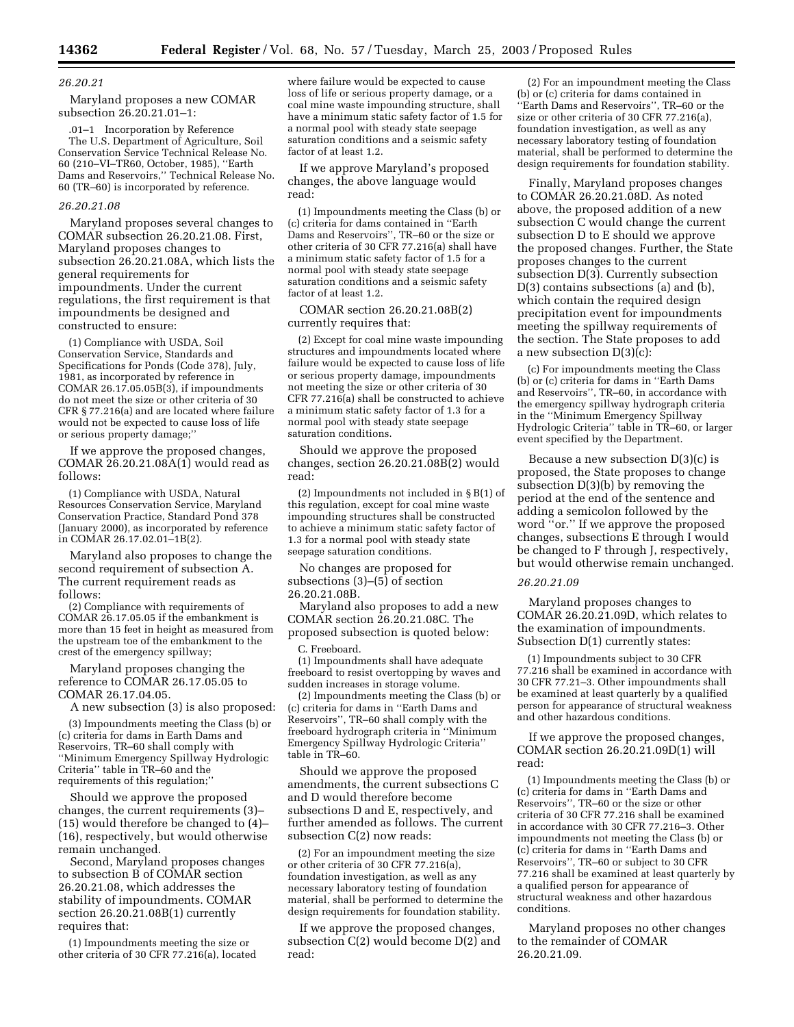### *26.20.21*

Maryland proposes a new COMAR subsection 26.20.21.01–1:

.01–1 Incorporation by Reference The U.S. Department of Agriculture, Soil Conservation Service Technical Release No. 60 (210–VI–TR60, October, 1985), ''Earth Dams and Reservoirs,'' Technical Release No. 60 (TR–60) is incorporated by reference.

### *26.20.21.08*

Maryland proposes several changes to COMAR subsection 26.20.21.08. First, Maryland proposes changes to subsection 26.20.21.08A, which lists the general requirements for impoundments. Under the current regulations, the first requirement is that impoundments be designed and constructed to ensure:

(1) Compliance with USDA, Soil Conservation Service, Standards and Specifications for Ponds (Code 378), July, 1981, as incorporated by reference in COMAR 26.17.05.05B(3), if impoundments do not meet the size or other criteria of 30 CFR § 77.216(a) and are located where failure would not be expected to cause loss of life or serious property damage;''

If we approve the proposed changes, COMAR 26.20.21.08A(1) would read as follows:

(1) Compliance with USDA, Natural Resources Conservation Service, Maryland Conservation Practice, Standard Pond 378 (January 2000), as incorporated by reference in COMAR 26.17.02.01–1B(2).

Maryland also proposes to change the second requirement of subsection A. The current requirement reads as follows:

(2) Compliance with requirements of COMAR 26.17.05.05 if the embankment is more than 15 feet in height as measured from the upstream toe of the embankment to the crest of the emergency spillway;

Maryland proposes changing the reference to COMAR 26.17.05.05 to COMAR 26.17.04.05.

A new subsection (3) is also proposed:

(3) Impoundments meeting the Class (b) or (c) criteria for dams in Earth Dams and Reservoirs, TR–60 shall comply with ''Minimum Emergency Spillway Hydrologic Criteria'' table in TR–60 and the requirements of this regulation;''

Should we approve the proposed changes, the current requirements (3)– (15) would therefore be changed to (4)– (16), respectively, but would otherwise remain unchanged.

Second, Maryland proposes changes to subsection B of COMAR section 26.20.21.08, which addresses the stability of impoundments. COMAR section 26.20.21.08B(1) currently requires that:

(1) Impoundments meeting the size or other criteria of 30 CFR 77.216(a), located where failure would be expected to cause loss of life or serious property damage, or a coal mine waste impounding structure, shall have a minimum static safety factor of 1.5 for a normal pool with steady state seepage saturation conditions and a seismic safety factor of at least 1.2.

If we approve Maryland's proposed changes, the above language would read:

(1) Impoundments meeting the Class (b) or (c) criteria for dams contained in ''Earth Dams and Reservoirs'', TR–60 or the size or other criteria of 30 CFR 77.216(a) shall have a minimum static safety factor of 1.5 for a normal pool with steady state seepage saturation conditions and a seismic safety factor of at least 1.2.

COMAR section 26.20.21.08B(2) currently requires that:

(2) Except for coal mine waste impounding structures and impoundments located where failure would be expected to cause loss of life or serious property damage, impoundments not meeting the size or other criteria of 30 CFR 77.216(a) shall be constructed to achieve a minimum static safety factor of 1.3 for a normal pool with steady state seepage saturation conditions.

Should we approve the proposed changes, section 26.20.21.08B(2) would read:

(2) Impoundments not included in §B(1) of this regulation, except for coal mine waste impounding structures shall be constructed to achieve a minimum static safety factor of 1.3 for a normal pool with steady state seepage saturation conditions.

No changes are proposed for subsections (3)–(5) of section 26.20.21.08B.

Maryland also proposes to add a new COMAR section 26.20.21.08C. The proposed subsection is quoted below:

C. Freeboard.

(1) Impoundments shall have adequate freeboard to resist overtopping by waves and sudden increases in storage volume.

(2) Impoundments meeting the Class (b) or (c) criteria for dams in ''Earth Dams and Reservoirs'', TR–60 shall comply with the freeboard hydrograph criteria in ''Minimum Emergency Spillway Hydrologic Criteria'' table in TR–60.

Should we approve the proposed amendments, the current subsections C and D would therefore become subsections D and E, respectively, and further amended as follows. The current subsection C(2) now reads:

(2) For an impoundment meeting the size or other criteria of 30 CFR 77.216(a), foundation investigation, as well as any necessary laboratory testing of foundation material, shall be performed to determine the design requirements for foundation stability.

If we approve the proposed changes, subsection C(2) would become D(2) and read:

(2) For an impoundment meeting the Class (b) or (c) criteria for dams contained in ''Earth Dams and Reservoirs'', TR–60 or the size or other criteria of 30 CFR 77.216(a), foundation investigation, as well as any necessary laboratory testing of foundation material, shall be performed to determine the design requirements for foundation stability.

Finally, Maryland proposes changes to COMAR 26.20.21.08D. As noted above, the proposed addition of a new subsection C would change the current subsection D to E should we approve the proposed changes. Further, the State proposes changes to the current subsection D(3). Currently subsection D(3) contains subsections (a) and (b), which contain the required design precipitation event for impoundments meeting the spillway requirements of the section. The State proposes to add a new subsection D(3)(c):

(c) For impoundments meeting the Class (b) or (c) criteria for dams in ''Earth Dams and Reservoirs'', TR–60, in accordance with the emergency spillway hydrograph criteria in the ''Minimum Emergency Spillway Hydrologic Criteria'' table in TR–60, or larger event specified by the Department.

Because a new subsection D(3)(c) is proposed, the State proposes to change subsection D(3)(b) by removing the period at the end of the sentence and adding a semicolon followed by the word ''or.'' If we approve the proposed changes, subsections E through I would be changed to F through J, respectively, but would otherwise remain unchanged.

## *26.20.21.09*

Maryland proposes changes to COMAR 26.20.21.09D, which relates to the examination of impoundments. Subsection D(1) currently states:

(1) Impoundments subject to 30 CFR 77.216 shall be examined in accordance with 30 CFR 77.21–3. Other impoundments shall be examined at least quarterly by a qualified person for appearance of structural weakness and other hazardous conditions.

If we approve the proposed changes, COMAR section 26.20.21.09D(1) will read:

(1) Impoundments meeting the Class (b) or (c) criteria for dams in ''Earth Dams and Reservoirs'', TR–60 or the size or other criteria of 30 CFR 77.216 shall be examined in accordance with 30 CFR 77.216–3. Other impoundments not meeting the Class (b) or (c) criteria for dams in ''Earth Dams and Reservoirs'', TR–60 or subject to 30 CFR 77.216 shall be examined at least quarterly by a qualified person for appearance of structural weakness and other hazardous conditions.

Maryland proposes no other changes to the remainder of COMAR 26.20.21.09.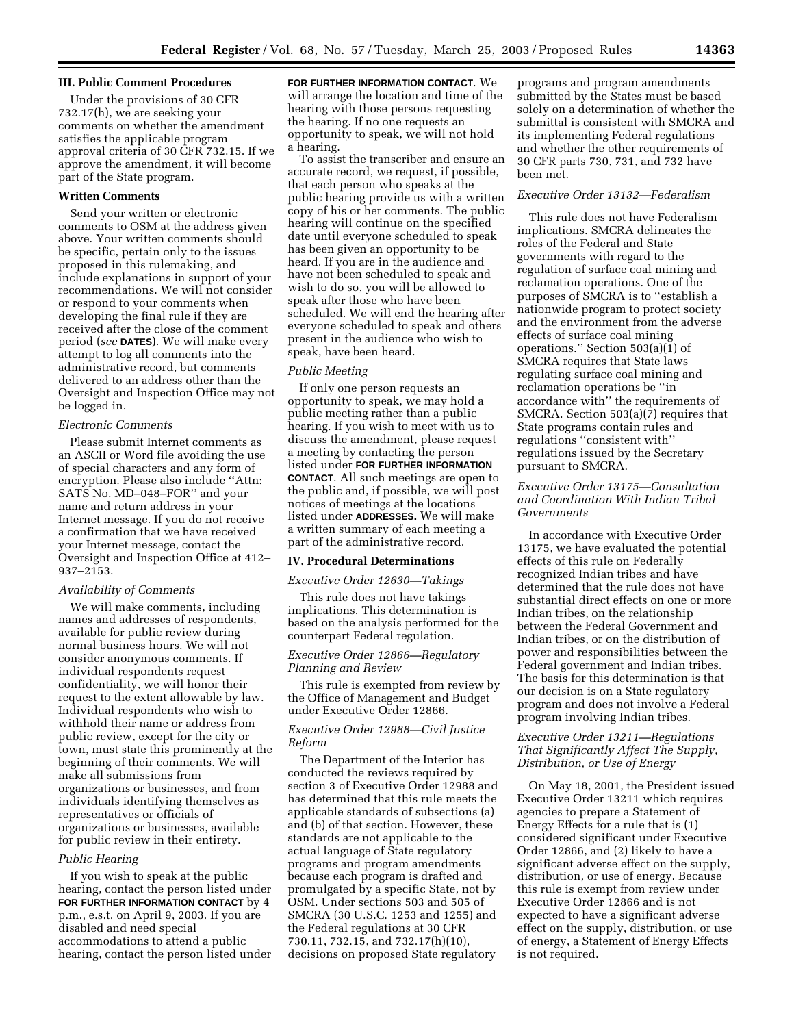### **III. Public Comment Procedures**

Under the provisions of 30 CFR 732.17(h), we are seeking your comments on whether the amendment satisfies the applicable program approval criteria of 30 CFR 732.15. If we approve the amendment, it will become part of the State program.

### **Written Comments**

Send your written or electronic comments to OSM at the address given above. Your written comments should be specific, pertain only to the issues proposed in this rulemaking, and include explanations in support of your recommendations. We will not consider or respond to your comments when developing the final rule if they are received after the close of the comment period (*see* **DATES**). We will make every attempt to log all comments into the administrative record, but comments delivered to an address other than the Oversight and Inspection Office may not be logged in.

### *Electronic Comments*

Please submit Internet comments as an ASCII or Word file avoiding the use of special characters and any form of encryption. Please also include ''Attn: SATS No. MD–048–FOR'' and your name and return address in your Internet message. If you do not receive a confirmation that we have received your Internet message, contact the Oversight and Inspection Office at 412– 937–2153.

## *Availability of Comments*

We will make comments, including names and addresses of respondents, available for public review during normal business hours. We will not consider anonymous comments. If individual respondents request confidentiality, we will honor their request to the extent allowable by law. Individual respondents who wish to withhold their name or address from public review, except for the city or town, must state this prominently at the beginning of their comments. We will make all submissions from organizations or businesses, and from individuals identifying themselves as representatives or officials of organizations or businesses, available for public review in their entirety.

## *Public Hearing*

If you wish to speak at the public hearing, contact the person listed under **FOR FURTHER INFORMATION CONTACT** by 4 p.m., e.s.t. on April 9, 2003. If you are disabled and need special accommodations to attend a public hearing, contact the person listed under **FOR FURTHER INFORMATION CONTACT**. We will arrange the location and time of the hearing with those persons requesting the hearing. If no one requests an opportunity to speak, we will not hold a hearing.

To assist the transcriber and ensure an accurate record, we request, if possible, that each person who speaks at the public hearing provide us with a written copy of his or her comments. The public hearing will continue on the specified date until everyone scheduled to speak has been given an opportunity to be heard. If you are in the audience and have not been scheduled to speak and wish to do so, you will be allowed to speak after those who have been scheduled. We will end the hearing after everyone scheduled to speak and others present in the audience who wish to speak, have been heard.

# *Public Meeting*

If only one person requests an opportunity to speak, we may hold a public meeting rather than a public hearing. If you wish to meet with us to discuss the amendment, please request a meeting by contacting the person listed under **FOR FURTHER INFORMATION CONTACT**. All such meetings are open to the public and, if possible, we will post notices of meetings at the locations listed under **ADDRESSES.** We will make a written summary of each meeting a part of the administrative record.

### **IV. Procedural Determinations**

#### *Executive Order 12630—Takings*

This rule does not have takings implications. This determination is based on the analysis performed for the counterpart Federal regulation.

## *Executive Order 12866—Regulatory Planning and Review*

This rule is exempted from review by the Office of Management and Budget under Executive Order 12866.

# *Executive Order 12988—Civil Justice Reform*

The Department of the Interior has conducted the reviews required by section 3 of Executive Order 12988 and has determined that this rule meets the applicable standards of subsections (a) and (b) of that section. However, these standards are not applicable to the actual language of State regulatory programs and program amendments because each program is drafted and promulgated by a specific State, not by OSM. Under sections 503 and 505 of SMCRA (30 U.S.C. 1253 and 1255) and the Federal regulations at 30 CFR 730.11, 732.15, and 732.17(h)(10), decisions on proposed State regulatory

programs and program amendments submitted by the States must be based solely on a determination of whether the submittal is consistent with SMCRA and its implementing Federal regulations and whether the other requirements of 30 CFR parts 730, 731, and 732 have been met.

## *Executive Order 13132—Federalism*

This rule does not have Federalism implications. SMCRA delineates the roles of the Federal and State governments with regard to the regulation of surface coal mining and reclamation operations. One of the purposes of SMCRA is to ''establish a nationwide program to protect society and the environment from the adverse effects of surface coal mining operations.'' Section 503(a)(1) of SMCRA requires that State laws regulating surface coal mining and reclamation operations be ''in accordance with'' the requirements of SMCRA. Section 503(a)(7) requires that State programs contain rules and regulations ''consistent with'' regulations issued by the Secretary pursuant to SMCRA.

# *Executive Order 13175—Consultation and Coordination With Indian Tribal Governments*

In accordance with Executive Order 13175, we have evaluated the potential effects of this rule on Federally recognized Indian tribes and have determined that the rule does not have substantial direct effects on one or more Indian tribes, on the relationship between the Federal Government and Indian tribes, or on the distribution of power and responsibilities between the Federal government and Indian tribes. The basis for this determination is that our decision is on a State regulatory program and does not involve a Federal program involving Indian tribes.

# *Executive Order 13211—Regulations That Significantly Affect The Supply, Distribution, or Use of Energy*

On May 18, 2001, the President issued Executive Order 13211 which requires agencies to prepare a Statement of Energy Effects for a rule that is (1) considered significant under Executive Order 12866, and (2) likely to have a significant adverse effect on the supply, distribution, or use of energy. Because this rule is exempt from review under Executive Order 12866 and is not expected to have a significant adverse effect on the supply, distribution, or use of energy, a Statement of Energy Effects is not required.